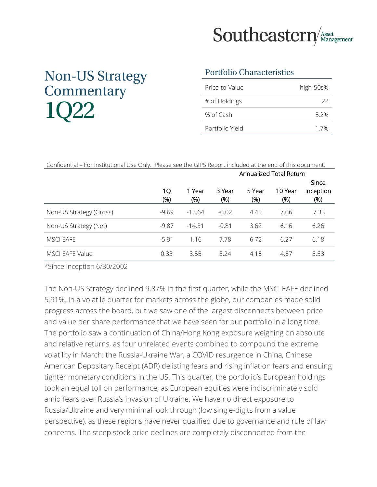

# Non-US Strategy **Commentary** 1Q22

#### Portfolio Characteristics

| Price-to-Value  | high-50s% |
|-----------------|-----------|
| # of Holdings   | 22        |
| % of Cash       | 5.2%      |
| Portfolio Yield | 17%       |

| Confidential – For Institutional Use Only. Please see the GIPS Report included at the end of this document. |         |          |         |                         |         |              |  |
|-------------------------------------------------------------------------------------------------------------|---------|----------|---------|-------------------------|---------|--------------|--|
|                                                                                                             |         |          |         | Annualized Total Return |         |              |  |
|                                                                                                             |         |          |         |                         |         | <b>Since</b> |  |
|                                                                                                             | 1Q      | 1 Year   | 3 Year  | 5 Year                  | 10 Year | Inception    |  |
|                                                                                                             | (% )    | (% )     | (% )    | (% )                    | (%)     | (% )         |  |
| Non-US Strategy (Gross)                                                                                     | $-9.69$ | $-13.64$ | $-0.02$ | 4.45                    | 7.06    | 7.33         |  |
| Non-US Strategy (Net)                                                                                       | $-9.87$ | $-14.31$ | $-0.81$ | 3.62                    | 6.16    | 6.26         |  |
| MSCI EAFE                                                                                                   | $-5.91$ | 1.16     | 7.78    | 6.72                    | 6.27    | 6.18         |  |
| MSCI EAFE Value                                                                                             | 0.33    | 3.55     | 5.24    | 4.18                    | 4.87    | 5.53         |  |

\*Since Inception 6/30/2002

The Non-US Strategy declined 9.87% in the first quarter, while the MSCI EAFE declined 5.91%. In a volatile quarter for markets across the globe, our companies made solid progress across the board, but we saw one of the largest disconnects between price and value per share performance that we have seen for our portfolio in a long time. The portfolio saw a continuation of China/Hong Kong exposure weighing on absolute and relative returns, as four unrelated events combined to compound the extreme volatility in March: the Russia-Ukraine War, a COVID resurgence in China, Chinese American Depositary Receipt (ADR) delisting fears and rising inflation fears and ensuing tighter monetary conditions in the US. This quarter, the portfolio's European holdings took an equal toll on performance, as European equities were indiscriminately sold amid fears over Russia's invasion of Ukraine. We have no direct exposure to Russia/Ukraine and very minimal look through (low single-digits from a value perspective), as these regions have never qualified due to governance and rule of law concerns. The steep stock price declines are completely disconnected from the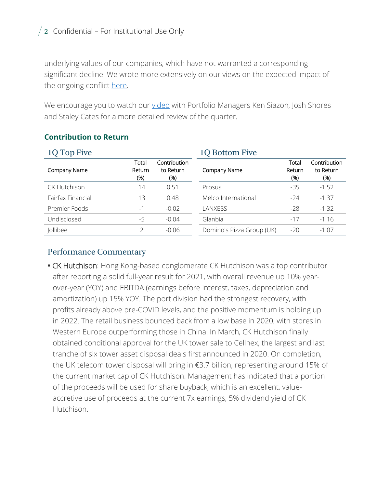### $\sqrt{2}$  Confidential – For Institutional Use Only

underlying values of our companies, which have not warranted a corresponding significant decline. We wrote more extensively on our views on the expected impact of the ongoing conflict [here.](https://seastern.s3.amazonaws.com/uploads/2022/03/Russia-Ukraine-Impact-1.pdf)

We encourage you to watch our [video](https://southeasternasset.com/podcasts/1q-2022-international-portfolio-manager-review/) with Portfolio Managers Ken Siazon, Josh Shores and Staley Cates for a more detailed review of the quarter.

| 1Q Top Five         |                        |                                  | 1Q Bottom Five            |                        |                                   |  |
|---------------------|------------------------|----------------------------------|---------------------------|------------------------|-----------------------------------|--|
| Company Name        | Total<br>Return<br>(%) | Contribution<br>to Return<br>(%) | Company Name              | Total<br>Return<br>(%) | Contribution<br>to Return<br>(% ) |  |
| <b>CK Hutchison</b> | 14                     | 0.51                             | Prosus                    | $-35$                  | $-1.52$                           |  |
| Fairfax Financial   | 13                     | 0.48                             | Melco International       | $-24$                  | $-1.37$                           |  |
| Premier Foods       | - 1                    | $-0.02$                          | LANXESS                   | $-28$                  | $-1.32$                           |  |
| Undisclosed         | -5                     | $-0.04$                          | Glanbia                   | $-17$                  | $-1.16$                           |  |
| Jollibee            |                        | $-0.06$                          | Domino's Pizza Group (UK) | $-20$                  | $-1.07$                           |  |

#### **Contribution to Return**

#### Performance Commentary

**•** CK Hutchison: Hong Kong-based conglomerate CK Hutchison was a top contributor after reporting a solid full-year result for 2021, with overall revenue up 10% yearover-year (YOY) and EBITDA (earnings before interest, taxes, depreciation and amortization) up 15% YOY. The port division had the strongest recovery, with profits already above pre-COVID levels, and the positive momentum is holding up in 2022. The retail business bounced back from a low base in 2020, with stores in Western Europe outperforming those in China. In March, CK Hutchison finally obtained conditional approval for the UK tower sale to Cellnex, the largest and last tranche of six tower asset disposal deals first announced in 2020. On completion, the UK telecom tower disposal will bring in €3.7 billion, representing around 15% of the current market cap of CK Hutchison. Management has indicated that a portion of the proceeds will be used for share buyback, which is an excellent, valueaccretive use of proceeds at the current 7x earnings, 5% dividend yield of CK Hutchison.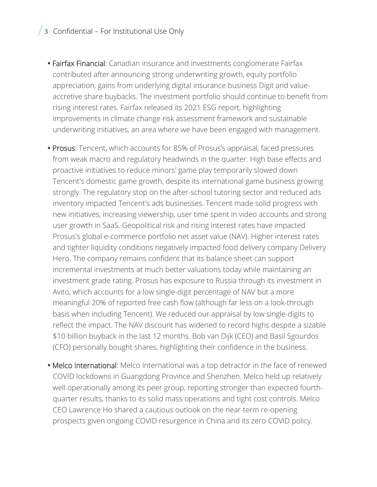### $\sqrt{3}$  Confidential – For Institutional Use Only

- **•** Fairfax Financial: Canadian insurance and investments conglomerate Fairfax contributed after announcing strong underwriting growth, equity portfolio appreciation, gains from underlying digital insurance business Digit and valueaccretive share buybacks. The investment portfolio should continue to benefit from rising interest rates. Fairfax released its 2021 ESG report, highlighting improvements in climate change risk assessment framework and sustainable underwriting initiatives, an area where we have been engaged with management.
- **•** Prosus: Tencent, which accounts for 85% of Prosus's appraisal, faced pressures from weak macro and regulatory headwinds in the quarter. High base effects and proactive initiatives to reduce minors' game play temporarily slowed down Tencent's domestic game growth, despite its international game business growing strongly. The regulatory stop on the after-school tutoring sector and reduced ads inventory impacted Tencent's ads businesses. Tencent made solid progress with new initiatives, increasing viewership, user time spent in video accounts and strong user growth in SaaS. Geopolitical risk and rising interest rates have impacted Prosus's global e-commerce portfolio net asset value (NAV). Higher interest rates and tighter liquidity conditions negatively impacted food delivery company Delivery Hero. The company remains confident that its balance sheet can support incremental investments at much better valuations today while maintaining an investment grade rating. Prosus has exposure to Russia through its investment in Avito, which accounts for a low single-digit percentage of NAV but a more meaningful 20% of reported free cash flow (although far less on a look-through basis when including Tencent). We reduced our appraisal by low single-digits to reflect the impact. The NAV discount has widened to record highs despite a sizable \$10 billion buyback in the last 12 months. Bob van Dijk (CEO) and Basil Sgourdos (CFO) personally bought shares, highlighting their confidence in the business.
- **•** Melco International: Melco International was a top detractor in the face of renewed COVID lockdowns in Guangdong Province and Shenzhen. Melco held up relatively well operationally among its peer group, reporting stronger than expected fourthquarter results, thanks to its solid mass operations and tight cost controls. Melco CEO Lawrence Ho shared a cautious outlook on the near-term re-opening prospects given ongoing COVID resurgence in China and its zero-COVID policy.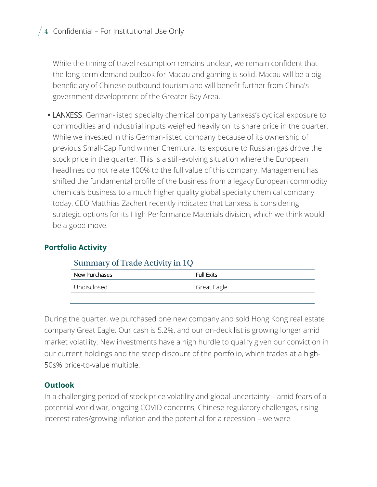$\sqrt{4}$  Confidential – For Institutional Use Only

While the timing of travel resumption remains unclear, we remain confident that the long-term demand outlook for Macau and gaming is solid. Macau will be a big beneficiary of Chinese outbound tourism and will benefit further from China's government development of the Greater Bay Area.

**•** LANXESS: German-listed specialty chemical company Lanxess's cyclical exposure to commodities and industrial inputs weighed heavily on its share price in the quarter. While we invested in this German-listed company because of its ownership of previous Small-Cap Fund winner Chemtura, its exposure to Russian gas drove the stock price in the quarter. This is a still-evolving situation where the European headlines do not relate 100% to the full value of this company. Management has shifted the fundamental profile of the business from a legacy European commodity chemicals business to a much higher quality global specialty chemical company today. CEO Matthias Zachert recently indicated that Lanxess is considering strategic options for its High Performance Materials division, which we think would be a good move.

#### **Portfolio Activity**

| Summary of Frage Activity in TQ |                   |  |  |  |  |
|---------------------------------|-------------------|--|--|--|--|
| New Purchases                   | <b>Full Exits</b> |  |  |  |  |
| Undisclosed                     | Great Eagle       |  |  |  |  |
|                                 |                   |  |  |  |  |

#### $Summary of Trade Activity in 10$

During the quarter, we purchased one new company and sold Hong Kong real estate company Great Eagle. Our cash is 5.2%, and our on-deck list is growing longer amid market volatility. New investments have a high hurdle to qualify given our conviction in our current holdings and the steep discount of the portfolio, which trades at a high-50s% price-to-value multiple.

#### **Outlook**

In a challenging period of stock price volatility and global uncertainty – amid fears of a potential world war, ongoing COVID concerns, Chinese regulatory challenges, rising interest rates/growing inflation and the potential for a recession – we were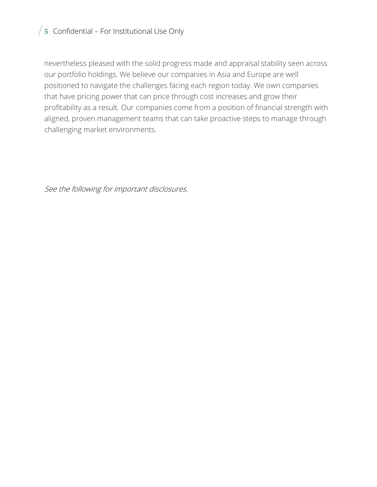### $/5$  Confidential – For Institutional Use Only

nevertheless pleased with the solid progress made and appraisal stability seen across our portfolio holdings. We believe our companies in Asia and Europe are well positioned to navigate the challenges facing each region today. We own companies that have pricing power that can price through cost increases and grow their profitability as a result. Our companies come from a position of financial strength with aligned, proven management teams that can take proactive steps to manage through challenging market environments.

See the following for important disclosures.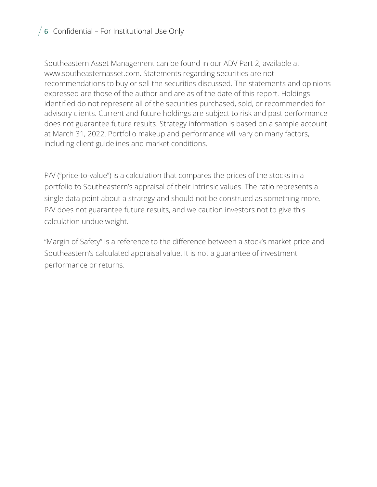### $\sqrt{6}$  Confidential – For Institutional Use Only

Southeastern Asset Management can be found in our ADV Part 2, available at www.southeasternasset.com. Statements regarding securities are not recommendations to buy or sell the securities discussed. The statements and opinions expressed are those of the author and are as of the date of this report. Holdings identified do not represent all of the securities purchased, sold, or recommended for advisory clients. Current and future holdings are subject to risk and past performance does not guarantee future results. Strategy information is based on a sample account at March 31, 2022. Portfolio makeup and performance will vary on many factors, including client guidelines and market conditions.

P/V ("price-to-value") is a calculation that compares the prices of the stocks in a portfolio to Southeastern's appraisal of their intrinsic values. The ratio represents a single data point about a strategy and should not be construed as something more. P/V does not guarantee future results, and we caution investors not to give this calculation undue weight.

"Margin of Safety" is a reference to the difference between a stock's market price and Southeastern's calculated appraisal value. It is not a guarantee of investment performance or returns.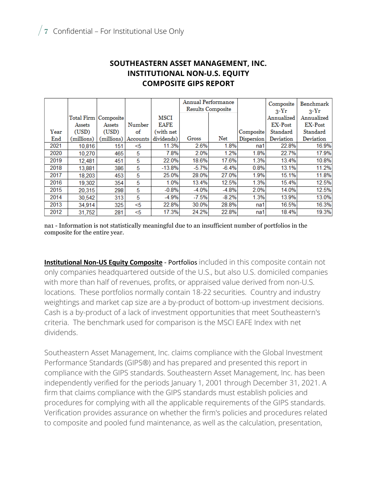#### **SOUTHEASTERN ASSET MANAGEMENT, INC. INSTITUTIONAL NON-U.S. EQUITY COMPOSITE GIPS REPORT**

|      |            |                        |          |             | <b>Annual Performance</b> |         |            | Composite      | Benchmark      |
|------|------------|------------------------|----------|-------------|---------------------------|---------|------------|----------------|----------------|
|      |            |                        |          |             | Results Composite         |         |            | $2-Yr$         | $2-Yr$         |
|      |            | Total Firm   Composite |          | <b>MSCI</b> |                           |         |            | Annualized     | Annualized     |
|      | Assets     | Assets                 | Number   | EAFE        |                           |         |            | <b>EX-Post</b> | <b>EX-Post</b> |
| Year | (USD)      | (USD)                  | of       | (with net   |                           |         | Composite  | Standard       | Standard       |
| End  | (millions) | (millions)             | Accounts | dividends)  | Gross                     | Net     | Dispersion | Deviation      | Deviation      |
| 2021 | 10.816     | 151                    | <5       | 11.3%       | 2.6%                      | 1.8%    | na1        | 22.8%          | 16.9%          |
| 2020 | 10,270     | 465                    | 5        | 7.8%        | 2.0%                      | 1.2%    | 1.8%       | 22.7%          | 17.9%          |
| 2019 | 12,481     | 451                    | 5        | 22.0%       | 18.6%                     | 17.6%   | 1.3%       | 13.4%          | 10.8%          |
| 2018 | 13,881     | 386                    | 5        | $-13.8%$    | $-5.7%$                   | $-6.4%$ | 0.8%       | 13.1%          | 11.2%          |
| 2017 | 18,203     | 453                    | 5        | 25.0%       | 28.0%                     | 27.0%   | 1.9%       | 15.1%          | 11.8%          |
| 2016 | 19.302     | 354                    | 5        | 1.0%        | 13.4%                     | 12.5%   | 1.3%       | 15.4%          | 12.5%          |
| 2015 | 20.315     | 298                    | 5        | $-0.8%$     | $-4.0%$                   | $-4.8%$ | 2.0%       | 14.0%          | 12.5%          |
| 2014 | 30,542     | 313                    | 5        | $-4.9%$     | $-7.5%$                   | $-8.2%$ | 1.3%       | 13.9%          | 13.0%          |
| 2013 | 34.914     | 325                    | <5       | 22.8%       | 30.0%                     | 28.8%   | na1        | 16.5%          | 16.3%          |
| 2012 | 31,752     | 281                    | <5       | 17.3%       | 24.2%                     | 22.8%   | na1        | 18.4%          | 19.3%          |

na1 - Information is not statistically meaningful due to an insufficient number of portfolios in the composite for the entire year.

**Institutional Non-US Equity Composite** - Portfolios included in this composite contain not only companies headquartered outside of the U.S., but also U.S. domiciled companies with more than half of revenues, profits, or appraised value derived from non-U.S. locations. These portfolios normally contain 18-22 securities. Country and industry weightings and market cap size are a by-product of bottom-up investment decisions. Cash is a by-product of a lack of investment opportunities that meet Southeastern's criteria. The benchmark used for comparison is the MSCI EAFE Index with net dividends.

Southeastern Asset Management, Inc. claims compliance with the Global Investment Performance Standards (GIPS®) and has prepared and presented this report in compliance with the GIPS standards. Southeastern Asset Management, Inc. has been independently verified for the periods January 1, 2001 through December 31, 2021. A firm that claims compliance with the GIPS standards must establish policies and procedures for complying with all the applicable requirements of the GIPS standards. Verification provides assurance on whether the firm's policies and procedures related to composite and pooled fund maintenance, as well as the calculation, presentation,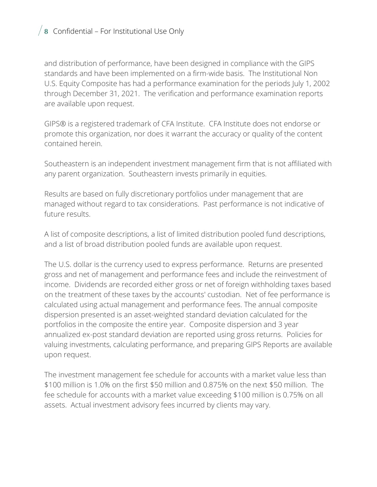### $\frac{1}{8}$  Confidential – For Institutional Use Only

and distribution of performance, have been designed in compliance with the GIPS standards and have been implemented on a firm-wide basis. The Institutional Non U.S. Equity Composite has had a performance examination for the periods July 1, 2002 through December 31, 2021. The verification and performance examination reports are available upon request.

GIPS® is a registered trademark of CFA Institute. CFA Institute does not endorse or promote this organization, nor does it warrant the accuracy or quality of the content contained herein.

Southeastern is an independent investment management firm that is not affiliated with any parent organization. Southeastern invests primarily in equities.

Results are based on fully discretionary portfolios under management that are managed without regard to tax considerations. Past performance is not indicative of future results.

A list of composite descriptions, a list of limited distribution pooled fund descriptions, and a list of broad distribution pooled funds are available upon request.

The U.S. dollar is the currency used to express performance. Returns are presented gross and net of management and performance fees and include the reinvestment of income. Dividends are recorded either gross or net of foreign withholding taxes based on the treatment of these taxes by the accounts' custodian. Net of fee performance is calculated using actual management and performance fees. The annual composite dispersion presented is an asset-weighted standard deviation calculated for the portfolios in the composite the entire year. Composite dispersion and 3 year annualized ex-post standard deviation are reported using gross returns. Policies for valuing investments, calculating performance, and preparing GIPS Reports are available upon request.

The investment management fee schedule for accounts with a market value less than \$100 million is 1.0% on the first \$50 million and 0.875% on the next \$50 million. The fee schedule for accounts with a market value exceeding \$100 million is 0.75% on all assets. Actual investment advisory fees incurred by clients may vary.